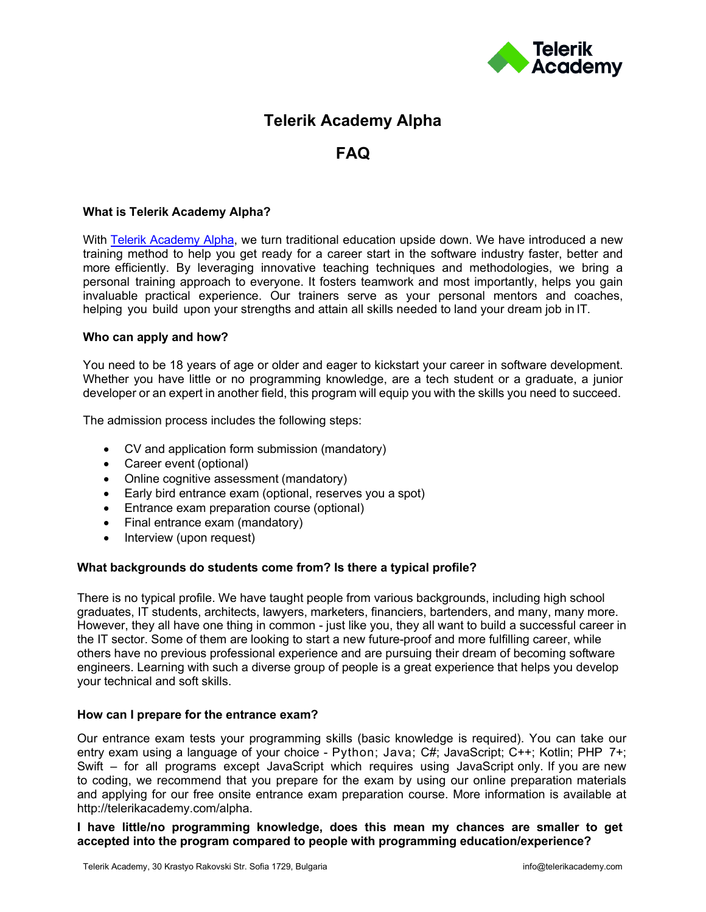

# **Telerik Academy Alpha**

## **FAQ**

## **What is Telerik Academy Alpha?**

With [Telerik Academy Alpha,](http://my.telerikacademy.com/alpha/) we turn traditional education upside down. We have introduced a new training method to help you get ready for a career start in the software industry faster, better and more efficiently. By leveraging innovative teaching techniques and methodologies, we bring a personal training approach to everyone. It fosters teamwork and most importantly, helps you gain invaluable practical experience. Our trainers serve as your personal mentors and coaches, helping you build upon your strengths and attain all skills needed to land your dream job in IT.

## **Who can apply and how?**

You need to be 18 years of age or older and eager to kickstart your career in software development. Whether you have little or no programming knowledge, are a tech student or a graduate, a junior developer or an expert in another field, this program will equip you with the skills you need to succeed.

The admission process includes the following steps:

- CV and application form submission (mandatory)
- Career event (optional)
- Online cognitive assessment (mandatory)
- Early bird entrance exam (optional, reserves you a spot)
- Entrance exam preparation course (optional)
- Final entrance exam (mandatory)
- Interview (upon request)

## **What backgrounds do students come from? Is there a typical profile?**

There is no typical profile. We have taught people from various backgrounds, including high school graduates, IT students, architects, lawyers, marketers, financiers, bartenders, and many, many more. However, they all have one thing in common - just like you, they all want to build a successful career in the IT sector. Some of them are looking to start a new future-proof and more fulfilling career, while others have no previous professional experience and are pursuing their dream of becoming software engineers. Learning with such a diverse group of people is a great experience that helps you develop your technical and soft skills.

## **How can I prepare for the entrance exam?**

Our entrance exam tests your programming skills (basic knowledge is required). You can take our entry exam using a language of your choice - Python; Java; C#; JavaScript; C++; Kotlin; PHP 7+; Swift – for all programs except JavaScript which requires using JavaScript only. If you are new to coding, we recommend that you prepare for the exam by using our online preparation materials and [applying for](https://learn.telerikacademy.com/course/index.php?categoryid=12) our free onsite entrance exam preparation course. More information is available at [http://telerikacademy.com/alpha.](http://telerikacademy.com/alpha)

**I have little/no programming knowledge, does this mean my chances are smaller to get accepted into the program compared to people with programming education/experience?**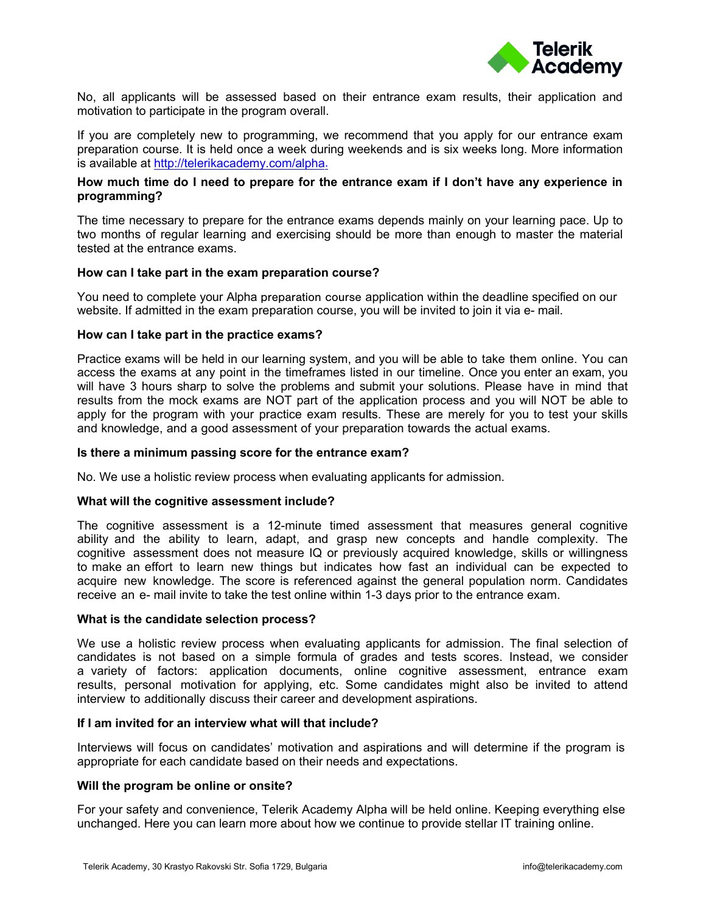

No, all applicants will be assessed based on their entrance exam results, their application and motivation to participate in the program overall.

If you are completely new to programming, we recommend that you apply for our entrance exam preparation course. It is held once a week during weekends and is six weeks long. More information is available at [http://telerikacademy.com/alpha.](http://telerikacademy.com/alpha) 

## **How much time do I need to prepare for the entrance exam if I don't have any experience in programming?**

The time necessary to prepare for the entrance exams depends mainly on your learning pace. Up to two months of regular learning and exercising should be more than enough to master the material tested at the entrance exams.

## **How can I take part in the exam preparation course?**

You need to complete your Alpha preparation course application within the deadline specified on our website. If admitted in the exam preparation course, you will be invited to join it via e- mail.

## **How can I take part in the practice exams?**

Practice exams will be held in our learning system, and you will be able to take them online. You can access the exams at any point in the timeframes [listed in our ti](https://learn.telerikacademy.com/mod/page/view.php?id=7334)[meline. Once yo](https://learn.telerikacademy.com/mod/page/view.php?id=7335)u enter an exam, you will have 3 hours sharp to solve the problems and submit your solutions. Please have in mind that results from the mock exams are NOT part of the application process and you will NOT be able to apply for the program with your practice exam results. These are merely for you to test your skills and knowledge, and a good assessment of your preparation towards the actual exams.

## **Is there a minimum passing score for the entrance exam?**

No. We use a holistic review process when evaluating applicants for admission.

## **What will the cognitive assessment include?**

The cognitive assessment is a 12-minute timed assessment that measures general cognitive ability and the ability to learn, adapt, and grasp new concepts and handle complexity. The cognitive assessment does not measure IQ or previously acquired knowledge, skills or willingness to make an effort to learn new things but indicates how fast an individual can be expected to acquire new knowledge. The score is referenced against the general population norm. Candidates receive an e- mail invite to take the test online within 1-3 days prior to the entrance exam.

## **What is the candidate selection process?**

We use a holistic review process when evaluating applicants for admission. The final selection of candidates is not based on a simple formula of grades and tests scores. Instead, we consider a variety of factors: application documents, online cognitive assessment, entrance exam results, personal motivation for applying, etc. Some candidates might also be invited to attend interview to additionally discuss their career and development aspirations.

## **If I am invited for an interview what will that include?**

Interviews will focus on candidates' motivation and aspirations and will determine if the program is appropriate for each candidate based on their needs and expectations.

## **Will the program be online or onsite?**

For your safety and convenience, Telerik Academy Alpha will be held online. Keeping everything else unchanged. Here you can learn more about how we continue to provide stellar IT training online.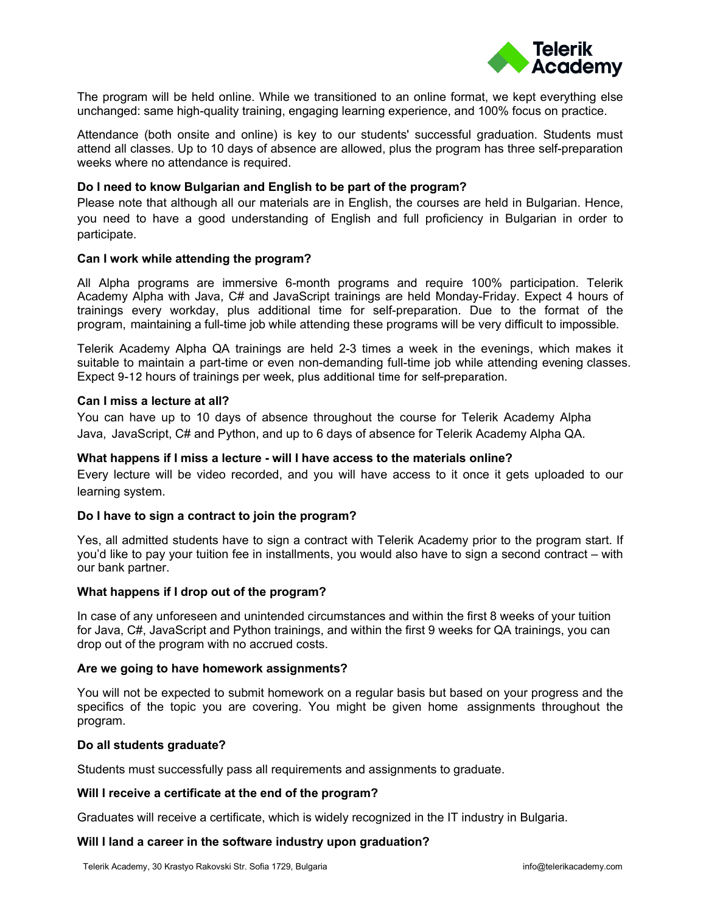

The program will be held online. While we transitioned to an online format, we kept everything else unchanged: same high-quality training, engaging learning experience, and 100% focus on practice.

Attendance (both onsite and online) is key to our students' successful graduation. Students must attend all classes. Up to 10 days of absence are allowed, plus the program has three self-preparation weeks where no attendance is required.

## **Do I need to know Bulgarian and English to be part of the program?**

Please note that although all our materials are in English, the courses are held in Bulgarian. Hence, you need to have a good understanding of English and full proficiency in Bulgarian in order to participate.

## **Can I work while attending the program?**

All Alpha programs are immersive 6-month programs and require 100% participation. Telerik Academy Alpha with Java, C# and JavaScript trainings are held Monday-Friday. Expect 4 hours of trainings every workday, plus additional time for self-preparation. Due to the format of the program, maintaining a full-time job while attending these programs will be very difficult to impossible.

Telerik Academy Alpha QA trainings are held 2-3 times a week in the evenings, which makes it suitable to maintain a part-time or even non-demanding full-time job while attending evening classes. Expect 9-12 hours of trainings per week, plus additional time for self-preparation.

## **Can I miss a lecture at all?**

You can have up to 10 days of absence throughout the course for Telerik Academy Alpha Java, JavaScript, C# and Python, and up to 6 days of absence for Telerik Academy Alpha QA.

## **What happens if I miss a lecture - will I have access to the materials online?**

Every lecture will be video recorded, and you will have access to it once it gets uploaded to our learning system.

## **Do I have to sign a contract to join the program?**

Yes, all admitted students have to sign a contract with Telerik Academy prior to the program start. If you'd like to pay your tuition fee in installments, you would also have to sign a second contract – with our bank partner.

## **What happens if I drop out of the program?**

In case of any unforeseen and unintended circumstances and within the first 8 weeks of your tuition for Java, C#, JavaScript and Python trainings, and within the first 9 weeks for QA trainings, you can drop out of the program with no accrued costs.

## **Are we going to have homework assignments?**

You will not be expected to submit homework on a regular basis but based on your progress and the specifics of the topic you are covering. You might be given home assignments throughout the program.

## **Do all students graduate?**

Students must successfully pass all requirements and assignments to graduate.

## **Will I receive a certificate at the end of the program?**

Graduates will receive a certificate, which is widely recognized in the IT industry in Bulgaria.

## **Will I land a career in the software industry upon graduation?**